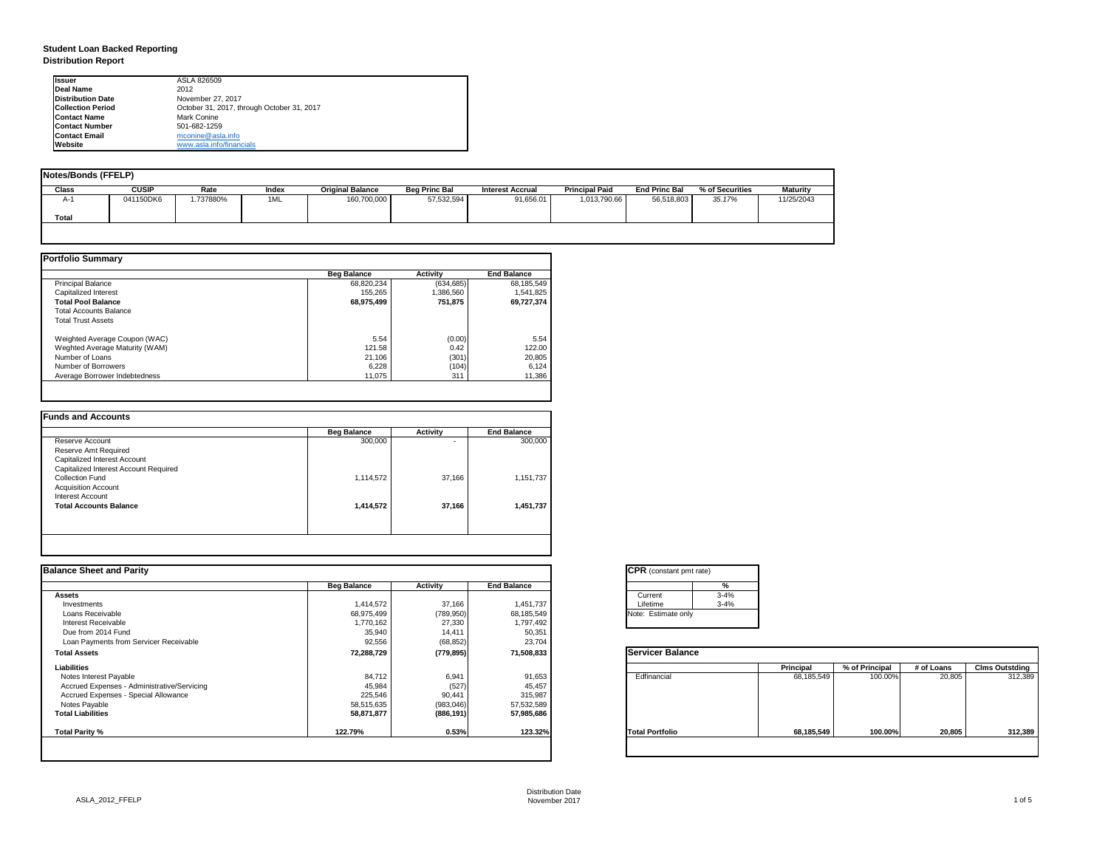| tant pmt rate) |          |
|----------------|----------|
|                | %        |
|                | $3 - 4%$ |
|                | $3 - 4%$ |
| ate only       |          |

|      | <b>Principal</b> | % of Principal | # of Loans | <b>Clms Outstding</b> |
|------|------------------|----------------|------------|-----------------------|
| al   | 68,185,549       | 100.00%        | 20,805     | 312,389               |
| olic | 68,185,549       | 100.00%        | 20,805     | 312,389               |

## **Student Loan Backed Reporting Distribution Report**

| Notes/Bonds (FFELP) |              |          |       |                         |                      |                  |                       |                      |                 |                 |
|---------------------|--------------|----------|-------|-------------------------|----------------------|------------------|-----------------------|----------------------|-----------------|-----------------|
| <b>Class</b>        | <b>CUSIP</b> | Rate     | Index | <b>Original Balance</b> | <b>Beg Princ Bal</b> | Interest Accrual | <b>Principal Paid</b> | <b>End Princ Bal</b> | % of Securities | <b>Maturity</b> |
| A-1                 | 041150DK6    | .737880% | 1ML   | 160,700,000             | 57,532,594           | 91,656.01        | 1,013,790.66          | 56,518,803           | 35.17%          | 11/25/2043      |
| Total               |              |          |       |                         |                      |                  |                       |                      |                 |                 |
|                     |              |          |       |                         |                      |                  |                       |                      |                 |                 |

|                                | <b>Beg Balance</b> | <b>Activity</b> | <b>End Balance</b> |
|--------------------------------|--------------------|-----------------|--------------------|
| <b>Principal Balance</b>       | 68,820,234         | (634, 685)      | 68,185,549         |
| Capitalized Interest           | 155,265            | 1,386,560       | 1,541,825          |
| <b>Total Pool Balance</b>      | 68,975,499         | 751,875         | 69,727,374         |
| <b>Total Accounts Balance</b>  |                    |                 |                    |
| <b>Total Trust Assets</b>      |                    |                 |                    |
| Weighted Average Coupon (WAC)  | 5.54               | (0.00)          | 5.54               |
| Weghted Average Maturity (WAM) | 121.58             | 0.42            | 122.00             |
| Number of Loans                | 21,106             | (301)           | 20,805             |
| Number of Borrowers            | 6,228              | (104)           | 6,124              |
| Average Borrower Indebtedness  | 11,075             | 311             | 11,386             |

|                                       | <b>Beg Balance</b> | <b>Activity</b>          | <b>End Balance</b> |
|---------------------------------------|--------------------|--------------------------|--------------------|
| Reserve Account                       | 300,000            | $\overline{\phantom{0}}$ | 300,000            |
| <b>Reserve Amt Required</b>           |                    |                          |                    |
| Capitalized Interest Account          |                    |                          |                    |
| Capitalized Interest Account Required |                    |                          |                    |
| <b>Collection Fund</b>                | 1,114,572          | 37,166                   | 1,151,737          |
| <b>Acquisition Account</b>            |                    |                          |                    |
| Interest Account                      |                    |                          |                    |
| <b>Total Accounts Balance</b>         | 1,414,572          | 37,166                   | 1,451,737          |
|                                       |                    |                          |                    |

| <b>Ilssuer</b>           | ASLA 826509                                |
|--------------------------|--------------------------------------------|
| Deal Name                | 2012                                       |
| Distribution Date        | November 27, 2017                          |
| <b>Collection Period</b> | October 31, 2017, through October 31, 2017 |
| <b>IContact Name</b>     | Mark Conine                                |
| <b>IContact Number</b>   | 501-682-1259                               |
| <b>Contact Email</b>     | mconine@asla.info                          |
| <b>IWebsite</b>          | www.asla.info/financials                   |

|                    |                 |                    | <b>CPR</b> (constant pmt rate) |                  |                |            |                       |
|--------------------|-----------------|--------------------|--------------------------------|------------------|----------------|------------|-----------------------|
| <b>Beg Balance</b> | <b>Activity</b> | <b>End Balance</b> | %                              |                  |                |            |                       |
|                    |                 |                    | $3 - 4%$<br>Current            |                  |                |            |                       |
| 1,414,572          | 37,166          | 1,451,737          | $3 - 4%$<br>Lifetime           |                  |                |            |                       |
| 68,975,499         | (789, 950)      | 68,185,549         | Note: Estimate only            |                  |                |            |                       |
| 1,770,162          | 27,330          | 1,797,492          |                                |                  |                |            |                       |
| 35,940             | 14,411          |                    |                                |                  |                |            |                       |
| 92,556             | (68, 852)       | 23,704             |                                |                  |                |            |                       |
| 72,288,729         | (779, 895)      | 71,508,833         | <b>Servicer Balance</b>        |                  |                |            |                       |
|                    |                 |                    |                                | <b>Principal</b> | % of Principal | # of Loans | <b>Clms Outstding</b> |
| 84,712             | 6,941           | 91,653             | Edfinancial                    | 68,185,549       | 100.00%        | 20,805     | 312,389               |
| 45,984             | (527)           | 45,457             |                                |                  |                |            |                       |
| 225,546            | 90,441          | 315,987            |                                |                  |                |            |                       |
| 58,515,635         | (983, 046)      | 57,532,589         |                                |                  |                |            |                       |
| 58,871,877         | (886, 191)      | 57,985,686         |                                |                  |                |            |                       |
| 122.79%            | 0.53%           | 123.32%            | <b>Total Portfolio</b>         | 68,185,549       | 100.00%        | 20,805     | 312,389               |
|                    |                 |                    | 50,351                         |                  |                |            |                       |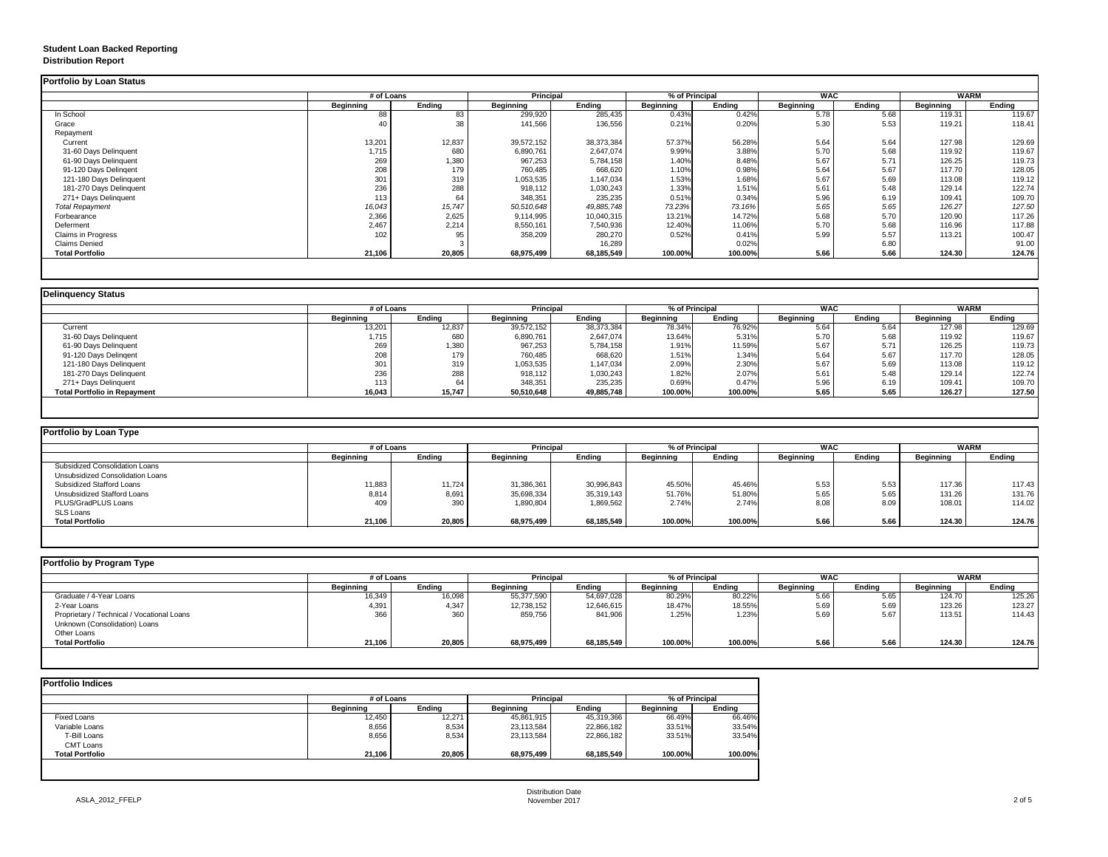## **Student Loan Backed Reporting Distribution Report**

|                           |                  | # of Loans    |                  | <b>Principal</b> | % of Principal   |               | <b>WAC</b>       |               | <b>WARM</b>      |               |
|---------------------------|------------------|---------------|------------------|------------------|------------------|---------------|------------------|---------------|------------------|---------------|
|                           | <b>Beginning</b> | <b>Ending</b> | <b>Beginning</b> | <b>Ending</b>    | <b>Beginning</b> | <b>Ending</b> | <b>Beginning</b> | <b>Ending</b> | <b>Beginning</b> | <b>Ending</b> |
| In School                 | 88               | 83            | 299,920          | 285,435          | 0.43%            | 0.42%         | 5.78             | 5.68          | 119.31           | 119.67        |
| Grace                     | 40               | 38            | 141,566          | 136,556          | 0.21%            | 0.20%         | 5.30             | 5.53          | 119.21           | 118.41        |
| Repayment                 |                  |               |                  |                  |                  |               |                  |               |                  |               |
| Current                   | 13,201           | 12,837        | 39,572,152       | 38,373,384       | 57.37%           | 56.28%        | 5.64             | 5.64          | 127.98           | 129.69        |
| 31-60 Days Delinquent     | 1,715            | 680           | 6,890,761        | 2,647,074        | 9.99%            | 3.88%         | 5.70             | 5.68          | 119.92           | 119.67        |
| 61-90 Days Delinquent     | 269              | 1,380         | 967,253          | 5,784,158        | 1.40%            | 8.48%         | 5.67             | 5.71          | 126.25           | 119.73        |
| 91-120 Days Delingent     | 208              | 179           | 760,485          | 668,620          | 1.10%            | 0.98%         | 5.64             | 5.67          | 117.70           | 128.05        |
| 121-180 Days Delinquent   | 301              | 319           | 1,053,535        | 1,147,034        | 1.53%            | 1.68%         | 5.67             | 5.69          | 113.08           | 119.12        |
| 181-270 Days Delinquent   | 236              | 288           | 918,112          | 1,030,243        | 1.33%            | 1.51%         | 5.61             | 5.48          | 129.14           | 122.74        |
| 271+ Days Delinquent      | 113              | 64            | 348,351          | 235,235          | 0.51%            | 0.34%         | 5.96             | 6.19          | 109.41           | 109.70        |
| <b>Total Repayment</b>    | 16,043           | 15,747        | 50,510,648       | 49,885,748       | 73.23%           | 73.16%        | 5.65             | 5.65          | 126.27           | 127.50        |
| Forbearance               | 2,366            | 2,625         | 9,114,995        | 10,040,315       | 13.21%           | 14.72%        | 5.68             | 5.70          | 120.90           | 117.26        |
| Deferment                 | 2,467            | 2,214         | 8,550,161        | 7,540,936        | 12.40%           | 11.06%        | 5.70             | 5.68          | 116.96           | 117.88        |
| <b>Claims in Progress</b> | 102              | 95            | 358,209          | 280,270          | 0.52%            | 0.41%         | 5.99             | 5.57          | 113.21           | 100.47        |
| <b>Claims Denied</b>      |                  |               |                  | 16,289           |                  | 0.02%         |                  | 6.80          |                  | 91.00         |
| <b>Total Portfolio</b>    | 21,106           | 20,805        | 68,975,499       | 68,185,549       | 100.00%          | 100.00%       | 5.66             | 5.66          | 124.30           | 124.76        |

|                                     |                  | # of Loans    |                  | <b>Principal</b><br>% of Principal |           |               | <b>WAC</b>       |        | <b>WARM</b>      |        |
|-------------------------------------|------------------|---------------|------------------|------------------------------------|-----------|---------------|------------------|--------|------------------|--------|
|                                     | <b>Beginning</b> | <b>Ending</b> | <b>Beginning</b> | <b>Ending</b>                      | Beginning | <b>Ending</b> | <b>Beginning</b> | Ending | <b>Beginning</b> | Ending |
| Current                             | 13,201           | 12,837        | 39,572,152       | 38,373,384                         | 78.34%    | 76.92%        | 5.64             | 5.64   | 127.98           | 129.69 |
| 31-60 Days Delinquent               | 1,715            | 680           | 6,890,761        | 2,647,074                          | 13.64%    | 5.31%         | 5.70             | 5.68   | 119.92           | 119.67 |
| 61-90 Days Delinquent               | 269              | 1,380         | 967,253          | 5,784,158                          | 1.91%     | 11.59%        | 5.67             | 5.71   | 126.25           | 119.73 |
| 91-120 Days Delingent               | 208              | 179           | 760,485          | 668,620                            | 1.51%     | 1.34%         | 5.64             | 5.67   | 117.70           | 128.05 |
| 121-180 Days Delinquent             | 301              | 319           | 1,053,535        | 1,147,034                          | 2.09%     | 2.30%         | 5.67             | 5.69   | 113.08           | 119.12 |
| 181-270 Days Delinquent             | 236              | 288           | 918,112          | 1,030,243                          | 1.82%     | 2.07%         | 5.61             | 5.48   | 129.14           | 122.74 |
| 271+ Days Delinguent                | 113              | 64            | 348,351          | 235,235                            | 0.69%     | 0.47%         | 5.96             | 6.19   | 109.41           | 109.70 |
| <b>Total Portfolio in Repayment</b> | 16,043           | 15,747        | 50,510,648       | 49,885,748                         | 100.00%   | 100.00%       | 5.65             | 5.65   | 126.27           | 127.50 |

| <b>Portfolio by Loan Type</b>         |                  |               |                  |               |                  |               |                  |        |                  |        |  |
|---------------------------------------|------------------|---------------|------------------|---------------|------------------|---------------|------------------|--------|------------------|--------|--|
|                                       | # of Loans       |               | <b>Principal</b> |               | % of Principal   |               | <b>WAC</b>       |        | WARM             |        |  |
|                                       | <b>Beginning</b> | <b>Ending</b> | <b>Beginning</b> | <b>Ending</b> | <b>Beginning</b> | <b>Ending</b> | <b>Beginning</b> | Ending | <b>Beginning</b> | Ending |  |
| <b>Subsidized Consolidation Loans</b> |                  |               |                  |               |                  |               |                  |        |                  |        |  |
| Unsubsidized Consolidation Loans      |                  |               |                  |               |                  |               |                  |        |                  |        |  |
| <b>Subsidized Stafford Loans</b>      | 11,883           | 11,724        | 31,386,361       | 30,996,843    | 45.50%           | 45.46%        | 5.53             | 5.53   | 117.36           | 117.43 |  |
| <b>Unsubsidized Stafford Loans</b>    | 8,814            | 8,691         | 35,698,334       | 35,319,143    | 51.76%           | 51.80%        | 5.65             | 5.65   | 131.26           | 131.76 |  |
| PLUS/GradPLUS Loans                   | 409              | 390           | 1,890,804        | 1,869,562     | 2.74%            | 2.74%         | 8.08             | 8.09   | 108.01           | 114.02 |  |
| <b>SLS Loans</b>                      |                  |               |                  |               |                  |               |                  |        |                  |        |  |
| <b>Total Portfolio</b>                | 21,106           | 20,805        | 68,975,499       | 68,185,549    | 100.00%          | 100.00%       | 5.66             | 5.66   | 124.30           | 124.76 |  |

|                                            |                  | # of Loans    |                  | % of Principal<br><b>Principal</b> |                  |               |                  | <b>WAC</b>    | <b>WARM</b>      |               |
|--------------------------------------------|------------------|---------------|------------------|------------------------------------|------------------|---------------|------------------|---------------|------------------|---------------|
|                                            | <b>Beginning</b> | <b>Ending</b> | <b>Beginning</b> | Ending                             | <b>Beginning</b> | <b>Ending</b> | <b>Beginning</b> | <b>Ending</b> | <b>Beginning</b> | <b>Ending</b> |
| Graduate / 4-Year Loans                    | 16,349           | 16,098        | 55,377,590       | 54,697,028                         | 80.29%           | 80.22%        | 5.66             | 5.65          | 124.70           | 125.26        |
| 2-Year Loans                               | 4,391            | 4,347         | 12,738,152       | 12,646,615                         | 18.47%           | 18.55%        | 5.69             | 5.69          | 123.26           | 123.27        |
| Proprietary / Technical / Vocational Loans | 366              | 360           | 859,756          | 841,906                            | 1.25%            | 1.23%         | 5.69             | 5.67          | 113.51           | 114.43        |
| Unknown (Consolidation) Loans              |                  |               |                  |                                    |                  |               |                  |               |                  |               |
| <b>Other Loans</b>                         |                  |               |                  |                                    |                  |               |                  |               |                  |               |
| <b>Total Portfolio</b>                     | 21,106           | 20,805        | 68,975,499       | 68,185,549                         | 100.00%          | 100.00%       | 5.66             | 5.66          | 124.30           | 124.76        |

| <b>Portfolio Indices</b> |                  |               |                  |               |                  |               |  |
|--------------------------|------------------|---------------|------------------|---------------|------------------|---------------|--|
|                          | # of Loans       |               | <b>Principal</b> |               | % of Principal   |               |  |
|                          | <b>Beginning</b> | <b>Ending</b> | <b>Beginning</b> | <b>Ending</b> | <b>Beginning</b> | <b>Ending</b> |  |
| <b>Fixed Loans</b>       | 12,450           | 12,271        | 45,861,915       | 45,319,366    | 66.49%           | 66.46%        |  |
| Variable Loans           | 8,656            | 8,534         | 23,113,584       | 22,866,182    | 33.51%           | 33.54%        |  |
| T-Bill Loans             | 8,656            | 8,534         | 23,113,584       | 22,866,182    | 33.51%           | 33.54%        |  |
| <b>CMT Loans</b>         |                  |               |                  |               |                  |               |  |
| <b>Total Portfolio</b>   | 21,106           | 20,805        | 68,975,499       | 68,185,549    | 100.00%          | 100.00%       |  |
|                          |                  |               |                  |               |                  |               |  |
|                          |                  |               |                  |               |                  |               |  |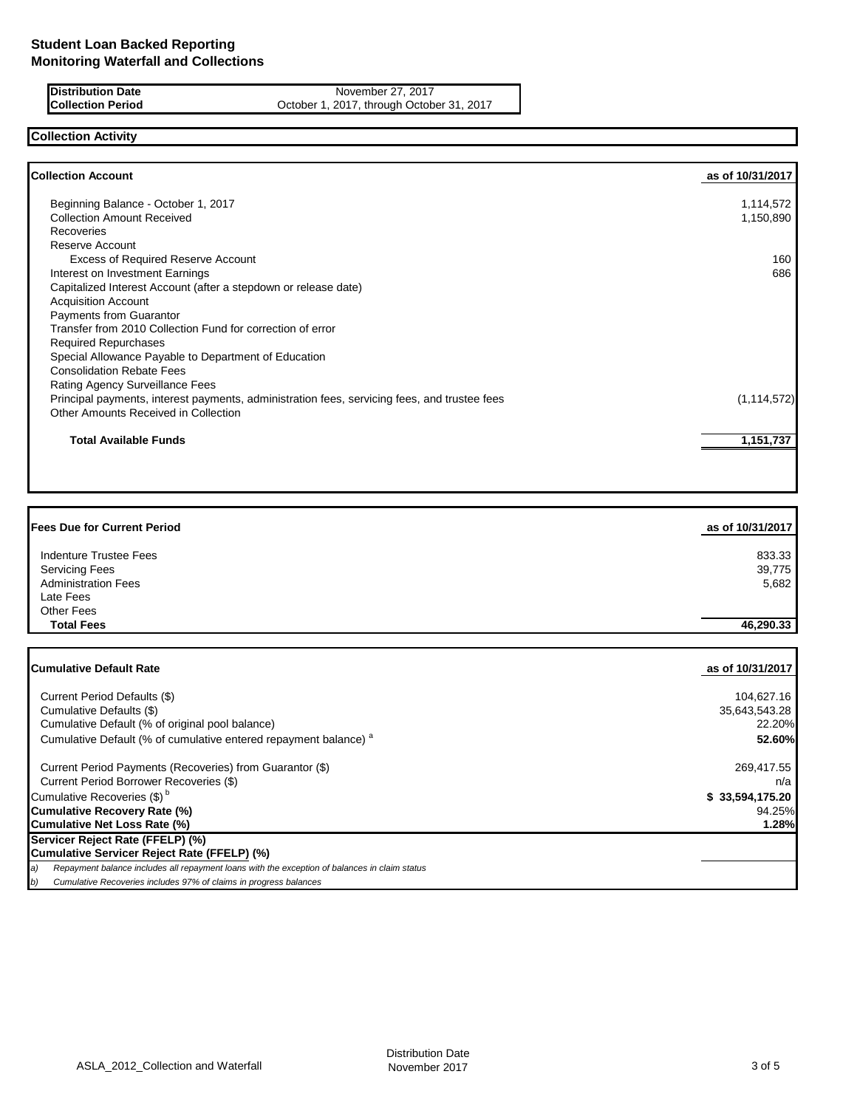**Distribution Date** November 27, 2017<br> **Collection Period** Collection Certic Collection Decision News Apple 2017, through October 1, 2017, through Octob October 1, 2017, through October 31, 2017

## **Collection Activity**

| <b>Collection Account</b>                                                                    | as of 10/31/2017 |
|----------------------------------------------------------------------------------------------|------------------|
| Beginning Balance - October 1, 2017                                                          | 1,114,572        |
| <b>Collection Amount Received</b>                                                            | 1,150,890        |
| <b>Recoveries</b>                                                                            |                  |
| Reserve Account                                                                              |                  |
| <b>Excess of Required Reserve Account</b>                                                    | 160              |
| Interest on Investment Earnings                                                              | 686              |
| Capitalized Interest Account (after a stepdown or release date)                              |                  |
| <b>Acquisition Account</b>                                                                   |                  |
| Payments from Guarantor                                                                      |                  |
| Transfer from 2010 Collection Fund for correction of error                                   |                  |
| <b>Required Repurchases</b>                                                                  |                  |
| Special Allowance Payable to Department of Education                                         |                  |
| <b>Consolidation Rebate Fees</b>                                                             |                  |
| Rating Agency Surveillance Fees                                                              |                  |
| Principal payments, interest payments, administration fees, servicing fees, and trustee fees | (1, 114, 572)    |
| Other Amounts Received in Collection                                                         |                  |
| <b>Total Available Funds</b>                                                                 | 1,151,737        |

| <b>Fees Due for Current Period</b>                                          | as of 10/31/2017 |
|-----------------------------------------------------------------------------|------------------|
| <b>Indenture Trustee Fees</b>                                               | 833.33           |
| <b>Servicing Fees</b>                                                       | 39,775           |
| <b>Administration Fees</b>                                                  | 5,682            |
| Late Fees                                                                   |                  |
| <b>Other Fees</b>                                                           |                  |
| <b>Total Fees</b>                                                           | 46,290.33        |
|                                                                             |                  |
| <b>Cumulative Default Rate</b>                                              | as of 10/31/2017 |
| Current Period Defaults (\$)                                                | 104,627.16       |
| Cumulative Defaults (\$)                                                    | 35,643,543.28    |
| Cumulative Default (% of original pool balance)                             | 22.20%           |
| Cumulative Default (% of cumulative entered repayment balance) <sup>a</sup> | 52.60%           |
| Current Period Payments (Recoveries) from Guarantor (\$)                    | 269,417.55       |
| Current Period Borrower Recoveries (\$)                                     | n/a              |
| Cumulative Recoveries (\$) <sup>b</sup>                                     | \$33,594,175.20  |
| <b>Cumulative Recovery Rate (%)</b>                                         | 94.25%           |
| <b>Cumulative Net Loss Rate (%)</b>                                         | 1.28%            |

### **Servicer Reject Rate (FFELP) (%) Cumulative Servicer Reject Rate (FFELP) (%)**

*a) Repayment balance includes all repayment loans with the exception of balances in claim status*

*b) Cumulative Recoveries includes 97% of claims in progress balances*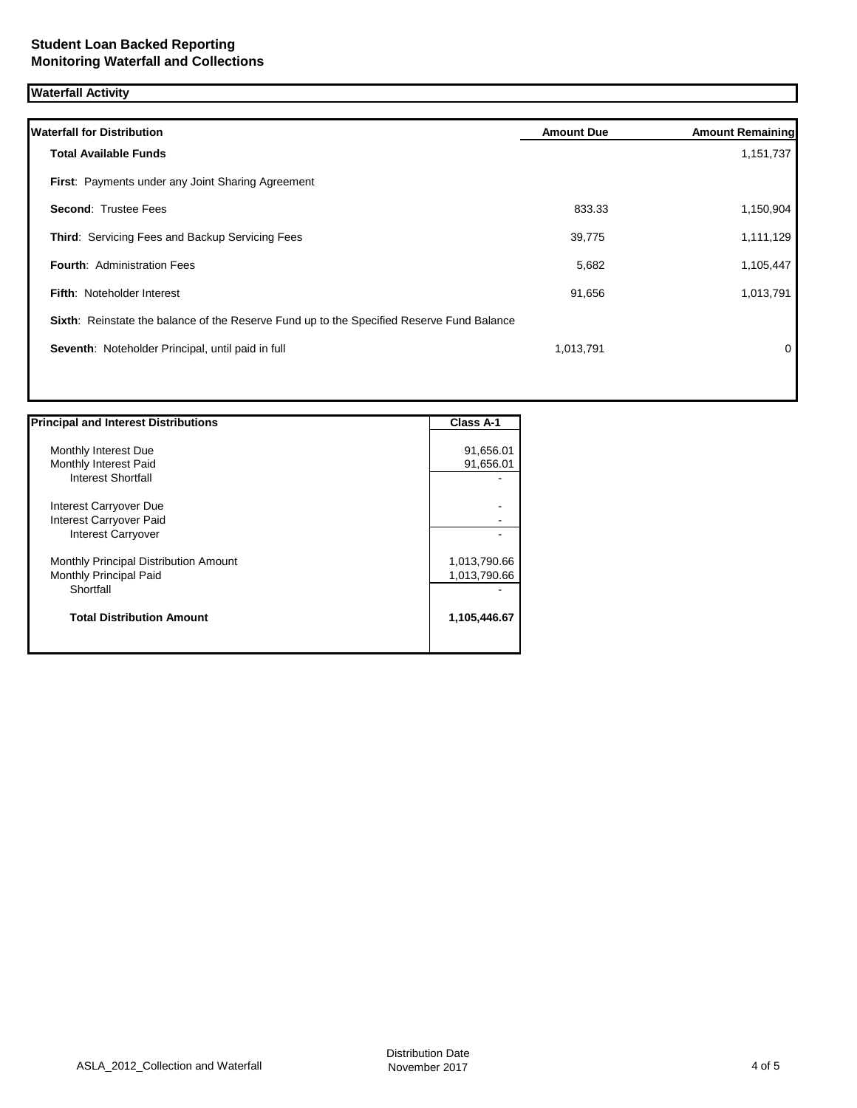# **Waterfall Activity**

| <b>Waterfall for Distribution</b>                                                         | <b>Amount Due</b> | <b>Amount Remaining</b> |
|-------------------------------------------------------------------------------------------|-------------------|-------------------------|
| <b>Total Available Funds</b>                                                              |                   | 1,151,737               |
| First: Payments under any Joint Sharing Agreement                                         |                   |                         |
| <b>Second: Trustee Fees</b>                                                               | 833.33            | 1,150,904               |
| Third: Servicing Fees and Backup Servicing Fees                                           | 39,775            | 1,111,129               |
| <b>Fourth: Administration Fees</b>                                                        | 5,682             | 1,105,447               |
| Fifth: Noteholder Interest                                                                | 91,656            | 1,013,791               |
| Sixth: Reinstate the balance of the Reserve Fund up to the Specified Reserve Fund Balance |                   |                         |
| Seventh: Noteholder Principal, until paid in full                                         | 1,013,791         | 0                       |
|                                                                                           |                   |                         |
|                                                                                           |                   |                         |

| <b>Principal and Interest Distributions</b> | Class A-1    |
|---------------------------------------------|--------------|
|                                             |              |
| Monthly Interest Due                        | 91,656.01    |
| Monthly Interest Paid                       | 91,656.01    |
| Interest Shortfall                          |              |
| Interest Carryover Due                      |              |
| Interest Carryover Paid                     |              |
| <b>Interest Carryover</b>                   |              |
| Monthly Principal Distribution Amount       | 1,013,790.66 |
| Monthly Principal Paid                      | 1,013,790.66 |
| Shortfall                                   |              |
| <b>Total Distribution Amount</b>            | 1,105,446.67 |
|                                             |              |

Π